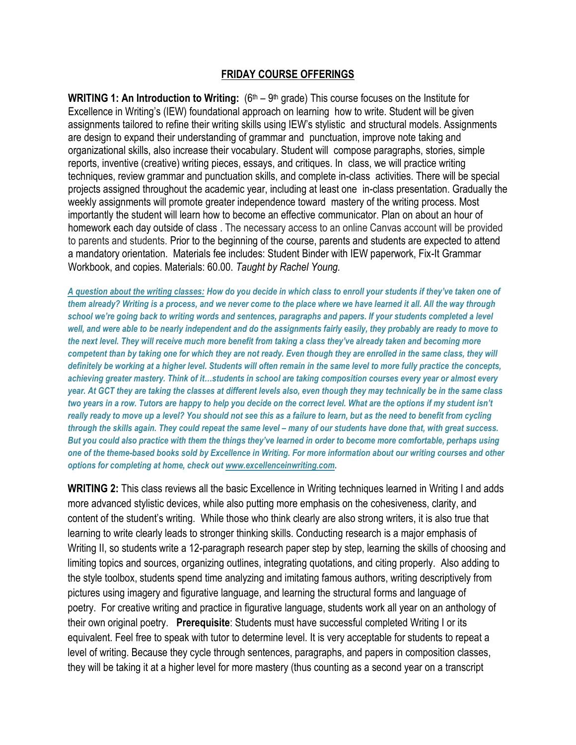## **FRIDAY COURSE OFFERINGS**

WRITING 1: An Introduction to Writing: (6<sup>th</sup> – 9<sup>th</sup> grade) This course focuses on the Institute for Excellence in Writing's (IEW) foundational approach on learning how to write. Student will be given assignments tailored to refine their writing skills using IEW's stylistic and structural models. Assignments are design to expand their understanding of grammar and punctuation, improve note taking and organizational skills, also increase their vocabulary. Student will compose paragraphs, stories, simple reports, inventive (creative) writing pieces, essays, and critiques. In class, we will practice writing techniques, review grammar and punctuation skills, and complete in-class activities. There will be special projects assigned throughout the academic year, including at least one in-class presentation. Gradually the weekly assignments will promote greater independence toward mastery of the writing process. Most importantly the student will learn how to become an effective communicator. Plan on about an hour of homework each day outside of class . The necessary access to an online Canvas account will be provided to parents and students. Prior to the beginning of the course, parents and students are expected to attend a mandatory orientation. Materials fee includes: Student Binder with IEW paperwork, Fix-It Grammar Workbook, and copies. Materials: 60.00. *Taught by Rachel Young.*

*A question about the writing classes: How do you decide in which class to enroll your students if they've taken one of them already? Writing is a process, and we never come to the place where we have learned it all. All the way through school we're going back to writing words and sentences, paragraphs and papers. If your students completed a level*  well, and were able to be nearly independent and do the assignments fairly easily, they probably are ready to move to *the next level. They will receive much more benefit from taking a class they've already taken and becoming more competent than by taking one for which they are not ready. Even though they are enrolled in the same class, they will definitely be working at a higher level. Students will often remain in the same level to more fully practice the concepts, achieving greater mastery. Think of it…students in school are taking composition courses every year or almost every year. At GCT they are taking the classes at different levels also, even though they may technically be in the same class two years in a row. Tutors are happy to help you decide on the correct level. What are the options if my student isn't really ready to move up a level? You should not see this as a failure to learn, but as the need to benefit from cycling through the skills again. They could repeat the same level – many of our students have done that, with great success. But you could also practice with them the things they've learned in order to become more comfortable, perhaps using one of the theme-based books sold by Excellence in Writing. For more information about our writing courses and other options for completing at home, check ou[t www.excellenceinwriting.com.](http://www.excellenceinwriting.com/)* 

**WRITING 2:** This class reviews all the basic Excellence in Writing techniques learned in Writing I and adds more advanced stylistic devices, while also putting more emphasis on the cohesiveness, clarity, and content of the student's writing. While those who think clearly are also strong writers, it is also true that learning to write clearly leads to stronger thinking skills. Conducting research is a major emphasis of Writing II, so students write a 12-paragraph research paper step by step, learning the skills of choosing and limiting topics and sources, organizing outlines, integrating quotations, and citing properly. Also adding to the style toolbox, students spend time analyzing and imitating famous authors, writing descriptively from pictures using imagery and figurative language, and learning the structural forms and language of poetry. For creative writing and practice in figurative language, students work all year on an anthology of their own original poetry. **Prerequisite**: Students must have successful completed Writing I or its equivalent. Feel free to speak with tutor to determine level. It is very acceptable for students to repeat a level of writing. Because they cycle through sentences, paragraphs, and papers in composition classes, they will be taking it at a higher level for more mastery (thus counting as a second year on a transcript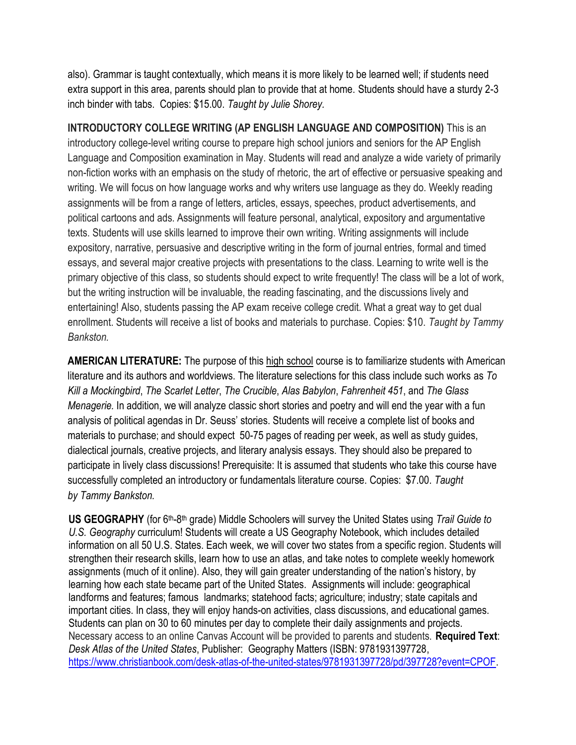also). Grammar is taught contextually, which means it is more likely to be learned well; if students need extra support in this area, parents should plan to provide that at home. Students should have a sturdy 2-3 inch binder with tabs. Copies: \$15.00. *Taught by Julie Shorey.* 

**INTRODUCTORY COLLEGE WRITING (AP ENGLISH LANGUAGE AND COMPOSITION)** This is an introductory college-level writing course to prepare high school juniors and seniors for the AP English Language and Composition examination in May. Students will read and analyze a wide variety of primarily non-fiction works with an emphasis on the study of rhetoric, the art of effective or persuasive speaking and writing. We will focus on how language works and why writers use language as they do. Weekly reading assignments will be from a range of letters, articles, essays, speeches, product advertisements, and political cartoons and ads. Assignments will feature personal, analytical, expository and argumentative texts. Students will use skills learned to improve their own writing. Writing assignments will include expository, narrative, persuasive and descriptive writing in the form of journal entries, formal and timed essays, and several major creative projects with presentations to the class. Learning to write well is the primary objective of this class, so students should expect to write frequently! The class will be a lot of work, but the writing instruction will be invaluable, the reading fascinating, and the discussions lively and entertaining! Also, students passing the AP exam receive college credit. What a great way to get dual enrollment. Students will receive a list of books and materials to purchase. Copies: \$10. *Taught by Tammy Bankston.*

**AMERICAN LITERATURE:** The purpose of this high school course is to familiarize students with American literature and its authors and worldviews. The literature selections for this class include such works as *To Kill a Mockingbird*, *The Scarlet Letter*, *The Crucible*, *Alas Babylon*, *Fahrenheit 451*, and *The Glass Menagerie.* In addition, we will analyze classic short stories and poetry and will end the year with a fun analysis of political agendas in Dr. Seuss' stories. Students will receive a complete list of books and materials to purchase; and should expect 50-75 pages of reading per week, as well as study guides, dialectical journals, creative projects, and literary analysis essays. They should also be prepared to participate in lively class discussions! Prerequisite: It is assumed that students who take this course have successfully completed an introductory or fundamentals literature course. Copies: \$7.00. *Taught by Tammy Bankston.*

US GEOGRAPHY (for 6<sup>th</sup>-8<sup>th</sup> grade) Middle Schoolers will survey the United States using *Trail Guide to U.S. Geography* curriculum! Students will create a US Geography Notebook, which includes detailed information on all 50 U.S. States. Each week, we will cover two states from a specific region. Students will strengthen their research skills, learn how to use an atlas, and take notes to complete weekly homework assignments (much of it online). Also, they will gain greater understanding of the nation's history, by learning how each state became part of the United States. Assignments will include: geographical landforms and features; famous landmarks; statehood facts; agriculture; industry; state capitals and important cities. In class, they will enjoy hands-on activities, class discussions, and educational games. Students can plan on 30 to 60 minutes per day to complete their daily assignments and projects. Necessary access to an online Canvas Account will be provided to parents and students. **Required Text**: *Desk Atlas of the United States*, Publisher: Geography Matters (ISBN: 9781931397728, [https://www.christianbook.com/desk-atlas-of-the-united-states/9781931397728/pd/397728?event=CPOF.](https://www.christianbook.com/desk-atlas-of-the-united-states/9781931397728/pd/397728?event=CPOF)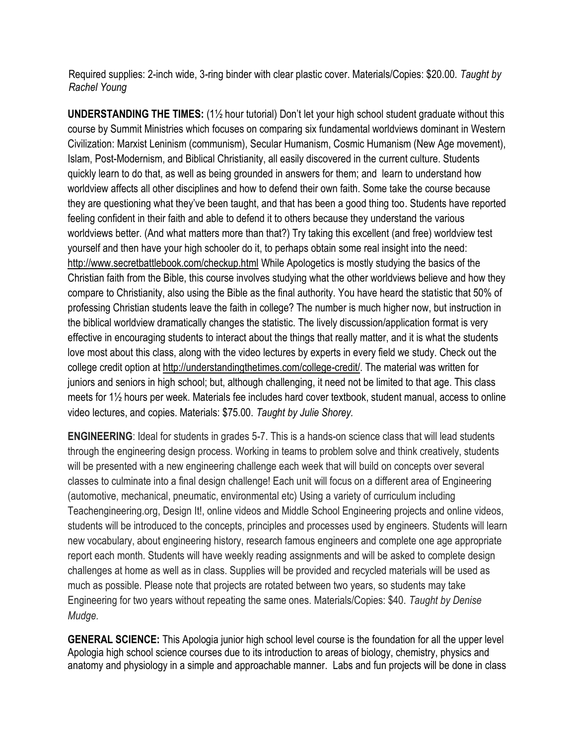Required supplies: 2-inch wide, 3-ring binder with clear plastic cover. Materials/Copies: \$20.00. *Taught by Rachel Young*

**UNDERSTANDING THE TIMES:** (1½ hour tutorial) Don't let your high school student graduate without this course by Summit Ministries which focuses on comparing six fundamental worldviews dominant in Western Civilization: Marxist Leninism (communism), Secular Humanism, Cosmic Humanism (New Age movement), Islam, Post-Modernism, and Biblical Christianity, all easily discovered in the current culture. Students quickly learn to do that, as well as being grounded in answers for them; and learn to understand how worldview affects all other disciplines and how to defend their own faith. Some take the course because they are questioning what they've been taught, and that has been a good thing too. Students have reported feeling confident in their faith and able to defend it to others because they understand the various worldviews better. (And what matters more than that?) Try taking this excellent (and free) worldview test yourself and then have your high schooler do it, to perhaps obtain some real insight into the need: <http://www.secretbattlebook.com/checkup.html> While Apologetics is mostly studying the basics of the Christian faith from the Bible, this course involves studying what the other worldviews believe and how they compare to Christianity, also using the Bible as the final authority. You have heard the statistic that 50% of professing Christian students leave the faith in college? The number is much higher now, but instruction in the biblical worldview dramatically changes the statistic. The lively discussion/application format is very effective in encouraging students to interact about the things that really matter, and it is what the students love most about this class, along with the video lectures by experts in every field we study. Check out the college credit option at [http://understandingthetimes.com/college-credit/.](http://understandingthetimes.com/college-credit/) The material was written for juniors and seniors in high school; but, although challenging, it need not be limited to that age. This class meets for 1½ hours per week. Materials fee includes hard cover textbook, student manual, access to online video lectures, and copies. Materials: \$75.00. *Taught by Julie Shorey.*

**ENGINEERING**: Ideal for students in grades 5-7. This is a hands-on science class that will lead students through the engineering design process. Working in teams to problem solve and think creatively, students will be presented with a new engineering challenge each week that will build on concepts over several classes to culminate into a final design challenge! Each unit will focus on a different area of Engineering (automotive, mechanical, pneumatic, environmental etc) Using a variety of curriculum including Teachengineering.org, Design It!, online videos and Middle School Engineering projects and online videos, students will be introduced to the concepts, principles and processes used by engineers. Students will learn new vocabulary, about engineering history, research famous engineers and complete one age appropriate report each month. Students will have weekly reading assignments and will be asked to complete design challenges at home as well as in class. Supplies will be provided and recycled materials will be used as much as possible. Please note that projects are rotated between two years, so students may take Engineering for two years without repeating the same ones. Materials/Copies: \$40. *Taught by Denise Mudge.*

**GENERAL SCIENCE:** This Apologia junior high school level course is the foundation for all the upper level Apologia high school science courses due to its introduction to areas of biology, chemistry, physics and anatomy and physiology in a simple and approachable manner. Labs and fun projects will be done in class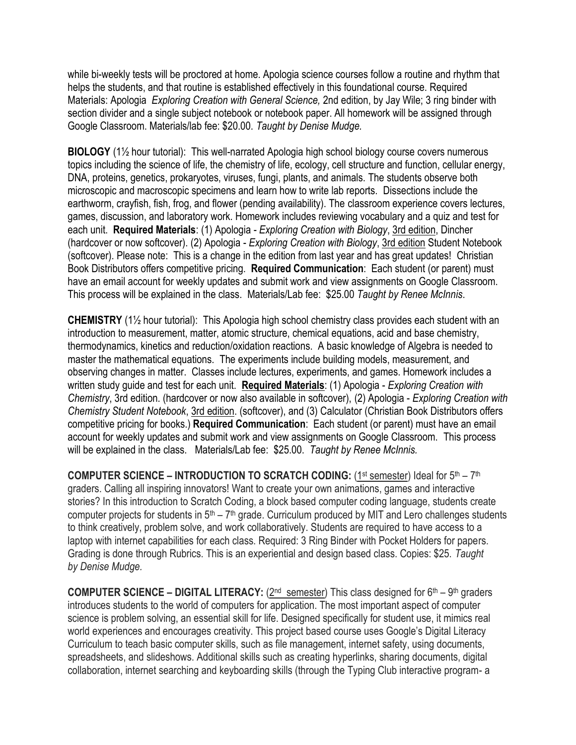while bi-weekly tests will be proctored at home. Apologia science courses follow a routine and rhythm that helps the students, and that routine is established effectively in this foundational course. Required Materials: Apologia *Exploring Creation with General Science,* 2nd edition, by Jay Wile; 3 ring binder with section divider and a single subject notebook or notebook paper. All homework will be assigned through Google Classroom. Materials/lab fee: \$20.00. *Taught by Denise Mudge.*

**BIOLOGY** (1½ hour tutorial):This well-narrated Apologia high school biology course covers numerous topics including the science of life, the chemistry of life, ecology, cell structure and function, cellular energy, DNA, proteins, genetics, prokaryotes, viruses, fungi, plants, and animals. The students observe both microscopic and macroscopic specimens and learn how to write lab reports. Dissections include the earthworm, crayfish, fish, frog, and flower (pending availability). The classroom experience covers lectures, games, discussion, and laboratory work. Homework includes reviewing vocabulary and a quiz and test for each unit. **Required Materials**: (1) Apologia - *Exploring Creation with Biology*, 3rd edition, Dincher (hardcover or now softcover). (2) Apologia - *Exploring Creation with Biology*, 3rd edition Student Notebook (softcover). Please note: This is a change in the edition from last year and has great updates! Christian Book Distributors offers competitive pricing. **Required Communication**: Each student (or parent) must have an email account for weekly updates and submit work and view assignments on Google Classroom. This process will be explained in the class. Materials/Lab fee: \$25.00 *Taught by Renee McInnis*.

**CHEMISTRY** (1½ hour tutorial): This Apologia high school chemistry class provides each student with an introduction to measurement, matter, atomic structure, chemical equations, acid and base chemistry, thermodynamics, kinetics and reduction/oxidation reactions. A basic knowledge of Algebra is needed to master the mathematical equations. The experiments include building models, measurement, and observing changes in matter. Classes include lectures, experiments, and games. Homework includes a written study guide and test for each unit. **Required Materials**: (1) Apologia - *Exploring Creation with Chemistry*, 3rd edition. (hardcover or now also available in softcover), (2) Apologia - *Exploring Creation with Chemistry Student Notebook*, 3rd edition. (softcover), and (3) Calculator (Christian Book Distributors offers competitive pricing for books.) **Required Communication**: Each student (or parent) must have an email account for weekly updates and submit work and view assignments on Google Classroom. This process will be explained in the class. Materials/Lab fee: \$25.00. *Taught by Renee McInnis.*

**COMPUTER SCIENCE – INTRODUCTION TO SCRATCH CODING: (1st semester) Ideal for 5th – 7th** graders. Calling all inspiring innovators! Want to create your own animations, games and interactive stories? In this introduction to Scratch Coding, a block based computer coding language, students create computer projects for students in  $5<sup>th</sup> - 7<sup>th</sup>$  grade. Curriculum produced by MIT and Lero challenges students to think creatively, problem solve, and work collaboratively. Students are required to have access to a laptop with internet capabilities for each class. Required: 3 Ring Binder with Pocket Holders for papers. Grading is done through Rubrics. This is an experiential and design based class. Copies: \$25. *Taught by Denise Mudge.*

**COMPUTER SCIENCE – DIGITAL LITERACY:** (2<sup>nd</sup> semester) This class designed for 6<sup>th</sup> – 9<sup>th</sup> graders introduces students to the world of computers for application. The most important aspect of computer science is problem solving, an essential skill for life. Designed specifically for student use, it mimics real world experiences and encourages creativity. This project based course uses Google's Digital Literacy Curriculum to teach basic computer skills, such as file management, internet safety, using documents, spreadsheets, and slideshows. Additional skills such as creating hyperlinks, sharing documents, digital collaboration, internet searching and keyboarding skills (through the Typing Club interactive program- a